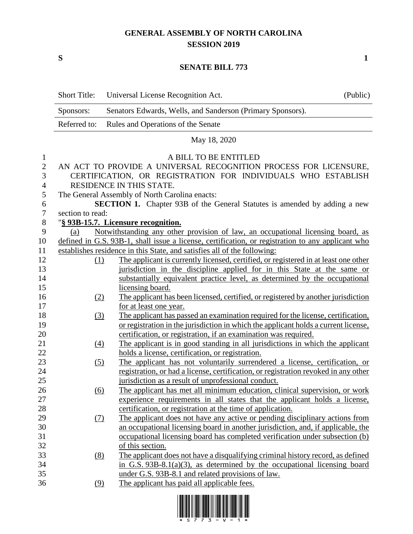## **GENERAL ASSEMBLY OF NORTH CAROLINA SESSION 2019**

**S 1**

## **SENATE BILL 773**

|                  | <b>Short Title:</b> | Universal License Recognition Act.                                                                | (Public) |
|------------------|---------------------|---------------------------------------------------------------------------------------------------|----------|
|                  | Sponsors:           | Senators Edwards, Wells, and Sanderson (Primary Sponsors).                                        |          |
|                  | Referred to:        | Rules and Operations of the Senate                                                                |          |
|                  |                     | May 18, 2020                                                                                      |          |
| $\mathbf{1}$     |                     | A BILL TO BE ENTITLED                                                                             |          |
| $\mathbf{2}$     |                     | AN ACT TO PROVIDE A UNIVERSAL RECOGNITION PROCESS FOR LICENSURE,                                  |          |
| 3                |                     | CERTIFICATION, OR REGISTRATION FOR INDIVIDUALS WHO ESTABLISH                                      |          |
| $\overline{4}$   |                     | RESIDENCE IN THIS STATE.                                                                          |          |
| 5                |                     | The General Assembly of North Carolina enacts:                                                    |          |
| 6                |                     | SECTION 1. Chapter 93B of the General Statutes is amended by adding a new                         |          |
| $\boldsymbol{7}$ | section to read:    |                                                                                                   |          |
| $8\,$            |                     | "§ 93B-15.7. Licensure recognition.                                                               |          |
| 9                | (a)                 | Notwithstanding any other provision of law, an occupational licensing board, as                   |          |
| 10               |                     | defined in G.S. 93B-1, shall issue a license, certification, or registration to any applicant who |          |
| 11               |                     | establishes residence in this State, and satisfies all of the following:                          |          |
| 12               | (1)                 | The applicant is currently licensed, certified, or registered in at least one other               |          |
| 13               |                     | jurisdiction in the discipline applied for in this State at the same or                           |          |
| 14               |                     | substantially equivalent practice level, as determined by the occupational                        |          |
| 15               |                     | licensing board.                                                                                  |          |
| 16               | (2)                 | The applicant has been licensed, certified, or registered by another jurisdiction                 |          |
| 17               |                     | for at least one year.                                                                            |          |
| 18               | (3)                 | The applicant has passed an examination required for the license, certification,                  |          |
| 19               |                     | or registration in the jurisdiction in which the applicant holds a current license.               |          |
| 20               |                     | certification, or registration, if an examination was required.                                   |          |
| 21               | (4)                 | The applicant is in good standing in all jurisdictions in which the applicant                     |          |
| 22               |                     | holds a license, certification, or registration.                                                  |          |
| 23               | (5)                 | The applicant has not voluntarily surrendered a license, certification, or                        |          |
| 24               |                     | registration, or had a license, certification, or registration revoked in any other               |          |
| 25               |                     | jurisdiction as a result of unprofessional conduct.                                               |          |
| 26               | <u>(6)</u>          | The applicant has met all minimum education, clinical supervision, or work                        |          |
| 27               |                     | experience requirements in all states that the applicant holds a license,                         |          |
| 28               |                     | certification, or registration at the time of application.                                        |          |
| 29               | (7)                 | The applicant does not have any active or pending disciplinary actions from                       |          |
| 30               |                     | an occupational licensing board in another jurisdiction, and, if applicable, the                  |          |
| 31               |                     | occupational licensing board has completed verification under subsection (b)                      |          |
| 32               |                     | of this section.                                                                                  |          |
| 33               | (8)                 | The applicant does not have a disqualifying criminal history record, as defined                   |          |
| 34               |                     | in G.S. 93B-8.1(a)(3), as determined by the occupational licensing board                          |          |
| 35               |                     | under G.S. 93B-8.1 and related provisions of law.                                                 |          |
| 36               | (9)                 | The applicant has paid all applicable fees.                                                       |          |